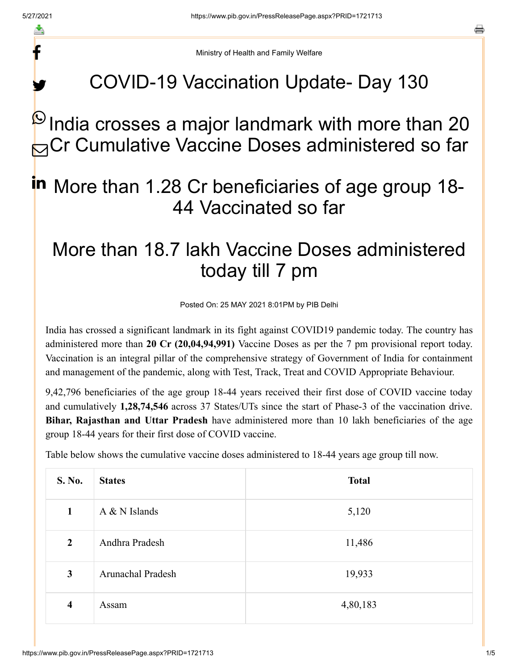f

y.

a

Ministry of Health and Family Welfare

### COVID-19 Vaccination Update- Day 130

# $^\text{\textregistered}$ India crosses a major landmark with more than 20 **B** Cr Cumulative Vaccine Doses administered so far

## in More than 1.28 Cr beneficiaries of age group 18-44 Vaccinated so far

### More than 18.7 lakh Vaccine Doses administered today till 7 pm

Posted On: 25 MAY 2021 8:01PM by PIB Delhi

India has crossed a significant landmark in its fight against COVID19 pandemic today. The country has administered more than **20 Cr (20,04,94,991)** Vaccine Doses as per the 7 pm provisional report today. Vaccination is an integral pillar of the comprehensive strategy of Government of India for containment and management of the pandemic, along with Test, Track, Treat and COVID Appropriate Behaviour.

9,42,796 beneficiaries of the age group 18-44 years received their first dose of COVID vaccine today and cumulatively **1,28,74,546** across 37 States/UTs since the start of Phase-3 of the vaccination drive. **Bihar, Rajasthan and Uttar Pradesh** have administered more than 10 lakh beneficiaries of the age group 18-44 years for their first dose of COVID vaccine.

Table below shows the cumulative vaccine doses administered to 18-44 years age group till now.

| <b>S. No.</b>           | <b>States</b>            | <b>Total</b> |
|-------------------------|--------------------------|--------------|
| $\mathbf{1}$            | $A & N$ Islands          | 5,120        |
| $\overline{2}$          | Andhra Pradesh           | 11,486       |
| $\mathbf{3}$            | <b>Arunachal Pradesh</b> | 19,933       |
| $\overline{\mathbf{4}}$ | Assam                    | 4,80,183     |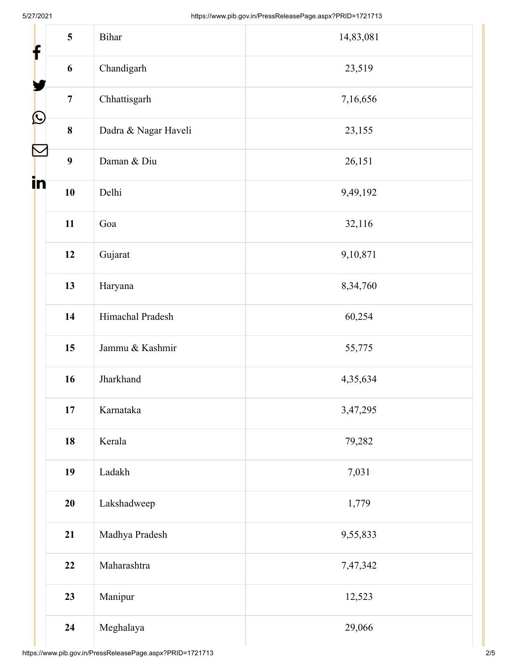| $\mathbf{f}$          | 5<br>Bihar                      | 14,83,081 |
|-----------------------|---------------------------------|-----------|
|                       | Chandigarh<br>6                 | 23,519    |
|                       | Chhattisgarh<br>$\overline{7}$  | 7,16,656  |
| $\bigcirc$            | Dadra & Nagar Haveli<br>$\bf 8$ | 23,155    |
| $\boldsymbol{\nabla}$ | $\boldsymbol{9}$<br>Daman & Diu | 26,151    |
| in                    | 10<br>Delhi                     | 9,49,192  |
|                       | 11<br>Goa                       | 32,116    |
|                       | 12<br>Gujarat                   | 9,10,871  |
|                       | 13<br>Haryana                   | 8,34,760  |
|                       | Himachal Pradesh<br>14          | 60,254    |
|                       | Jammu & Kashmir<br>15           | 55,775    |
|                       | Jharkhand<br>16                 | 4,35,634  |
|                       | 17<br>Karnataka                 | 3,47,295  |
|                       | 18<br>Kerala                    | 79,282    |
|                       | 19<br>Ladakh                    | 7,031     |
|                       | 20<br>Lakshadweep               | 1,779     |
|                       | 21<br>Madhya Pradesh            | 9,55,833  |
|                       | 22<br>Maharashtra               | 7,47,342  |
|                       | 23<br>Manipur                   | 12,523    |
|                       | Meghalaya<br>24                 | 29,066    |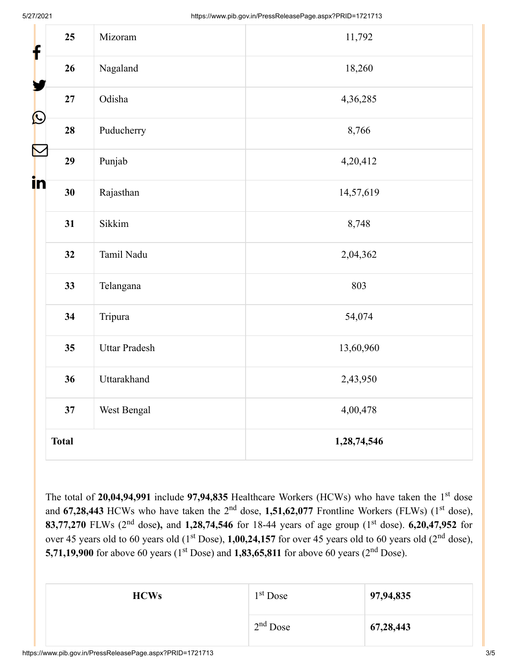| f          | 25           | Mizoram              | 11,792      |
|------------|--------------|----------------------|-------------|
|            | 26           | Nagaland             | 18,260      |
|            | 27           | Odisha               | 4,36,285    |
| $\bigcirc$ | 28           | Puducherry           | 8,766       |
|            | 29           | Punjab               | 4,20,412    |
| in         | 30           | Rajasthan            | 14,57,619   |
|            | 31           | Sikkim               | 8,748       |
|            | 32           | Tamil Nadu           | 2,04,362    |
|            | 33           | Telangana            | 803         |
|            | 34           | Tripura              | 54,074      |
|            | 35           | <b>Uttar Pradesh</b> | 13,60,960   |
|            | 36           | Uttarakhand          | 2,43,950    |
|            | 37           | West Bengal          | 4,00,478    |
|            | <b>Total</b> |                      | 1,28,74,546 |

The total of 20,04,94,991 include 97,94,835 Healthcare Workers (HCWs) who have taken the 1<sup>st</sup> dose and  $67,28,443$  HCWs who have taken the  $2<sup>nd</sup>$  dose,  $1,51,62,077$  Frontline Workers (FLWs) ( $1<sup>st</sup>$  dose), **83,77,270** FLWs (2<sup>nd</sup> dose), and 1,28,74,546 for 18-44 years of age group (1<sup>st</sup> dose). 6,20,47,952 for over 45 years old to 60 years old (1<sup>st</sup> Dose), **1,00,24,157** for over 45 years old to 60 years old (2<sup>nd</sup> dose), **5,71,19,900** for above 60 years (1<sup>st</sup> Dose) and **1,83,65,811** for above 60 years (2<sup>nd</sup> Dose).

| <b>HCWs</b> | $1st$ Dose | 97,94,835 |
|-------------|------------|-----------|
|             | $2nd$ Dose | 67,28,443 |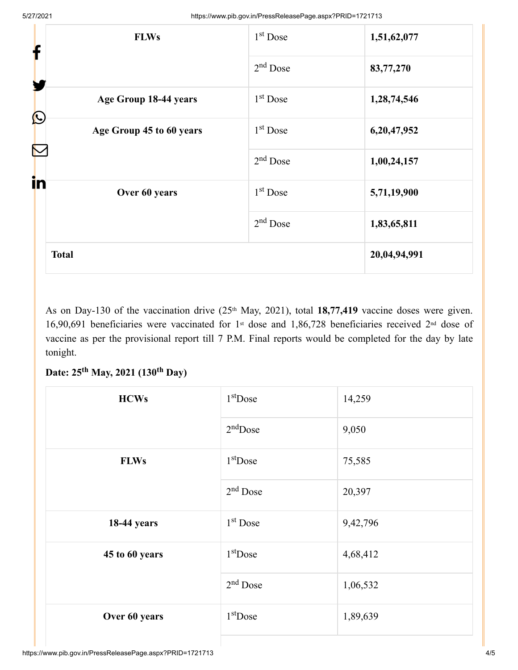| <b>FLWs</b><br>f                    | $1st$ Dose | 1,51,62,077  |
|-------------------------------------|------------|--------------|
| Y                                   | $2nd$ Dose | 83,77,270    |
| Age Group 18-44 years<br>$\bigcirc$ | $1st$ Dose | 1,28,74,546  |
| Age Group 45 to 60 years            | $1st$ Dose | 6,20,47,952  |
|                                     | $2nd$ Dose | 1,00,24,157  |
| in<br>Over 60 years                 | $1st$ Dose | 5,71,19,900  |
|                                     | $2nd$ Dose | 1,83,65,811  |
| <b>Total</b>                        |            | 20,04,94,991 |

As on Day-130 of the vaccination drive (25<sup>th</sup> May, 2021), total 18,77,419 vaccine doses were given. 16,90,691 beneficiaries were vaccinated for 1<sup>st</sup> dose and 1,86,728 beneficiaries received 2<sup>nd</sup> dose of vaccine as per the provisional report till 7 P.M. Final reports would be completed for the day by late tonight.

### Date: 25<sup>th</sup> May, 2021 (130<sup>th</sup> Day)

| <b>HCWs</b>    | $1st$ Dose | 14,259   |
|----------------|------------|----------|
|                | $2nd$ Dose | 9,050    |
| <b>FLWs</b>    | $1st$ Dose | 75,585   |
|                | $2nd$ Dose | 20,397   |
| 18-44 years    | $1st$ Dose | 9,42,796 |
| 45 to 60 years | $1st$ Dose | 4,68,412 |
|                | $2nd$ Dose | 1,06,532 |
| Over 60 years  | $1st$ Dose | 1,89,639 |
|                |            |          |